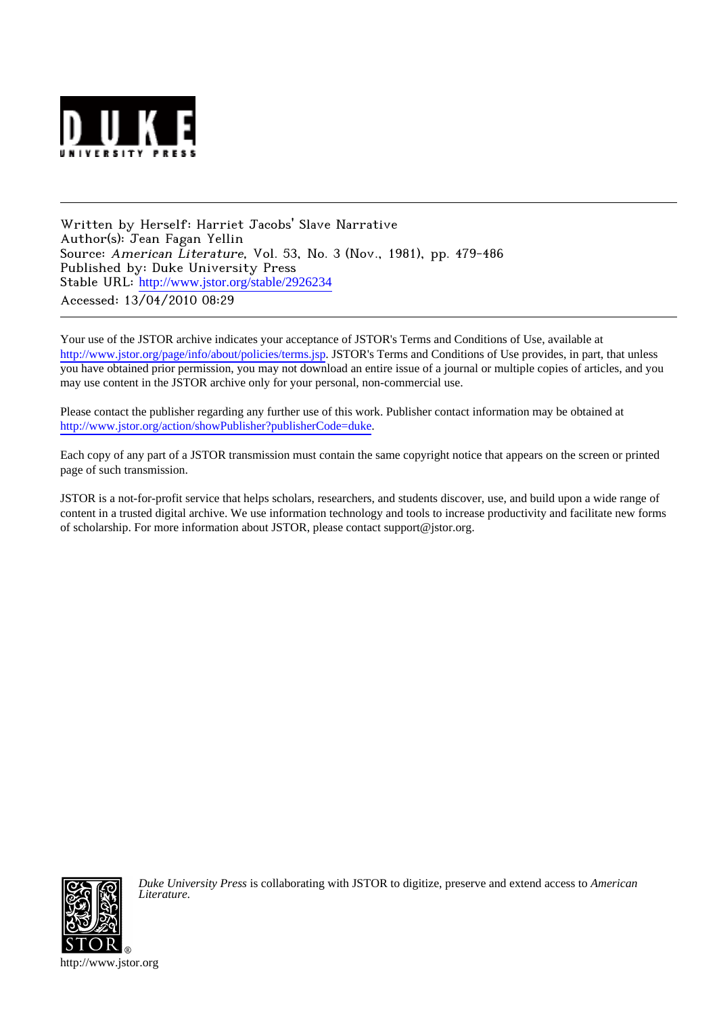

Written by Herself: Harriet Jacobs' Slave Narrative Author(s): Jean Fagan Yellin Source: American Literature, Vol. 53, No. 3 (Nov., 1981), pp. 479-486 Published by: Duke University Press Stable URL: [http://www.jstor.org/stable/2926234](http://www.jstor.org/stable/2926234?origin=JSTOR-pdf) Accessed: 13/04/2010 08:29

Your use of the JSTOR archive indicates your acceptance of JSTOR's Terms and Conditions of Use, available at <http://www.jstor.org/page/info/about/policies/terms.jsp>. JSTOR's Terms and Conditions of Use provides, in part, that unless you have obtained prior permission, you may not download an entire issue of a journal or multiple copies of articles, and you may use content in the JSTOR archive only for your personal, non-commercial use.

Please contact the publisher regarding any further use of this work. Publisher contact information may be obtained at <http://www.jstor.org/action/showPublisher?publisherCode=duke>.

Each copy of any part of a JSTOR transmission must contain the same copyright notice that appears on the screen or printed page of such transmission.

JSTOR is a not-for-profit service that helps scholars, researchers, and students discover, use, and build upon a wide range of content in a trusted digital archive. We use information technology and tools to increase productivity and facilitate new forms of scholarship. For more information about JSTOR, please contact support@jstor.org.



*Duke University Press* is collaborating with JSTOR to digitize, preserve and extend access to *American Literature.*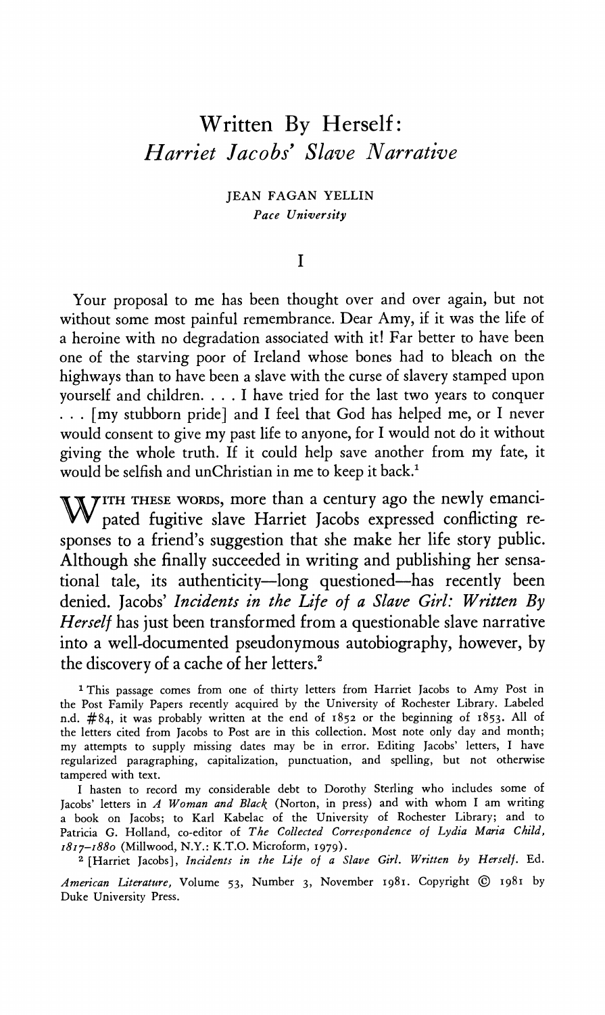# Written By Herself: Harriet Jacobs' Slave Narrative

**JEAN FAGAN YELLIN** Pace University

T

Your proposal to me has been thought over and over again, but not without some most painful remembrance. Dear Amy, if it was the life of a heroine with no degradation associated with it! Far better to have been one of the starving poor of Ireland whose bones had to bleach on the highways than to have been a slave with the curse of slavery stamped upon vourself and children. . . . I have tried for the last two years to conquer ... [my stubborn pride] and I feel that God has helped me, or I never would consent to give my past life to anyone, for I would not do it without giving the whole truth. If it could help save another from my fate, it would be selfish and unChristian in me to keep it back.<sup>1</sup>

WITH THESE WORDS, more than a century ago the newly emancipated fugitive slave Harriet Jacobs expressed conflicting responses to a friend's suggestion that she make her life story public. Although she finally succeeded in writing and publishing her sensational tale, its authenticity-long questioned-has recently been denied. Jacobs' Incidents in the Life of a Slave Girl: Written By *Herself* has just been transformed from a questionable slave narrative into a well-documented pseudonymous autobiography, however, by the discovery of a cache of her letters.<sup>2</sup>

<sup>1</sup> This passage comes from one of thirty letters from Harriet Jacobs to Amy Post in the Post Family Papers recently acquired by the University of Rochester Library. Labeled n.d. #84, it was probably written at the end of  $1852$  or the beginning of  $1853$ . All of the letters cited from Jacobs to Post are in this collection. Most note only day and month; my attempts to supply missing dates may be in error. Editing Jacobs' letters, I have regularized paragraphing, capitalization, punctuation, and spelling, but not otherwise tampered with text.

I hasten to record my considerable debt to Dorothy Sterling who includes some of Jacobs' letters in A Woman and Black (Norton, in press) and with whom I am writing a book on Jacobs; to Karl Kabelac of the University of Rochester Library; and to Patricia G. Holland, co-editor of The Collected Correspondence of Lydia Maria Child, 1817-1880 (Millwood, N.Y.: K.T.O. Microform, 1979).

<sup>2</sup> [Harriet Jacobs], Incidents in the Life of a Slave Girl. Written by Herself. Ed.

American Literature, Volume 53, Number 3, November 1981. Copyright © 1981 by Duke University Press.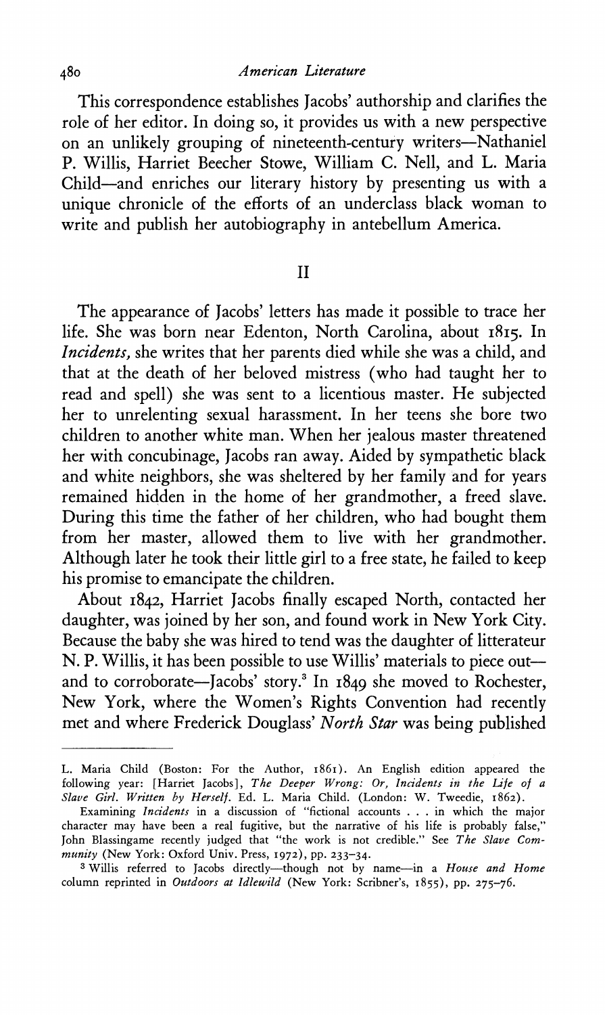# American Literature

This correspondence establishes Jacobs' authorship and clarifies the role of her editor. In doing so, it provides us with a new perspective on an unlikely grouping of nineteenth-century writers-Nathaniel P. Willis, Harriet Beecher Stowe, William C. Nell, and L. Maria Child—and enriches our literary history by presenting us with a unique chronicle of the efforts of an underclass black woman to write and publish her autobiography in antebellum America.

# $\mathbf{H}$

The appearance of Jacobs' letters has made it possible to trace her life. She was born near Edenton, North Carolina, about 1815. In Incidents, she writes that her parents died while she was a child, and that at the death of her beloved mistress (who had taught her to read and spell) she was sent to a licentious master. He subjected her to unrelenting sexual harassment. In her teens she bore two children to another white man. When her jealous master threatened her with concubinage, Jacobs ran away. Aided by sympathetic black and white neighbors, she was sheltered by her family and for years remained hidden in the home of her grandmother, a freed slave. During this time the father of her children, who had bought them from her master, allowed them to live with her grandmother. Although later he took their little girl to a free state, he failed to keep his promise to emancipate the children.

About 1842, Harriet Jacobs finally escaped North, contacted her daughter, was joined by her son, and found work in New York City. Because the baby she was hired to tend was the daughter of litterateur N. P. Willis, it has been possible to use Willis' materials to piece outand to corroborate-Jacobs' story.<sup>3</sup> In 1849 she moved to Rochester, New York, where the Women's Rights Convention had recently met and where Frederick Douglass' North Star was being published

L. Maria Child (Boston: For the Author, 1861). An English edition appeared the following year: [Harriet Jacobs], The Deeper Wrong: Or, Incidents in the Life of a Slave Girl. Written by Herself. Ed. L. Maria Child. (London: W. Tweedie, 1862).

Examining Incidents in a discussion of "fictional accounts . . . in which the major character may have been a real fugitive, but the narrative of his life is probably false," John Blassingame recently judged that "the work is not credible." See The Slave Community (New York: Oxford Univ. Press, 1972), pp. 233-34.

<sup>&</sup>lt;sup>3</sup> Willis referred to Jacobs directly-though not by name-in a House and Home column reprinted in Outdoors at Idlewild (New York: Scribner's, 1855), pp. 275-76.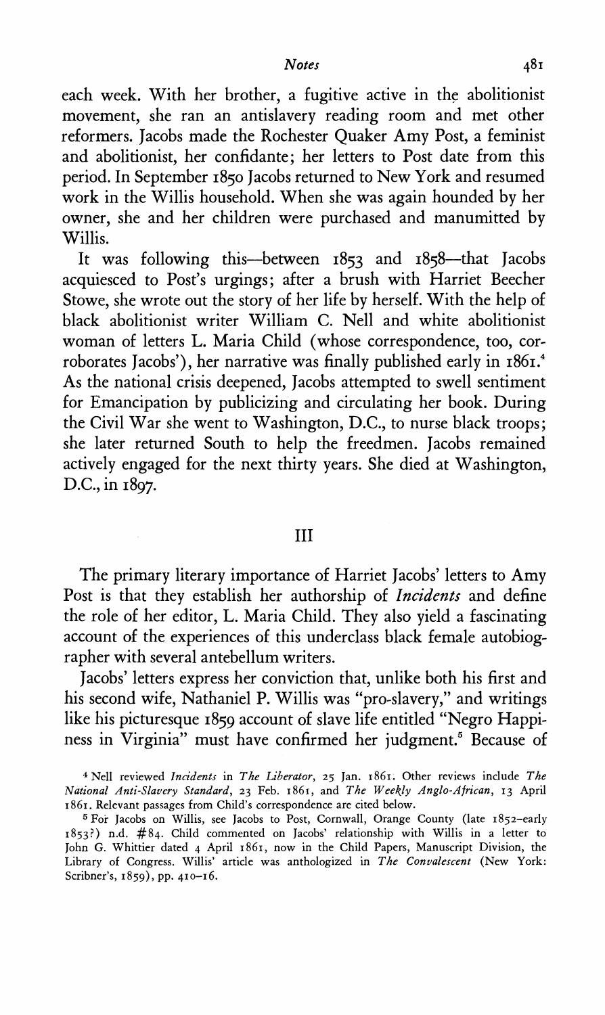each week. With her brother, a fugitive active in the abolitionist movement, she ran an antislavery reading room and met other reformers. Jacobs made the Rochester Ouaker Amy Post, a feminist and abolitionist, her confidante; her letters to Post date from this period. In September 1850 Jacobs returned to New York and resumed work in the Willis household. When she was again hounded by her owner, she and her children were purchased and manumitted by Willis.

It was following this—between 1853 and 1858—that Jacobs acquiesced to Post's urgings; after a brush with Harriet Beecher Stowe, she wrote out the story of her life by herself. With the help of black abolitionist writer William C. Nell and white abolitionist woman of letters L. Maria Child (whose correspondence, too, corroborates Jacobs'), her narrative was finally published early in 1861.<sup>4</sup> As the national crisis deepened, Jacobs attempted to swell sentiment for Emancipation by publicizing and circulating her book. During the Civil War she went to Washington, D.C., to nurse black troops; she later returned South to help the freedmen. Jacobs remained actively engaged for the next thirty years. She died at Washington, D.C., in 1897.

### $III$

The primary literary importance of Harriet Jacobs' letters to Amy Post is that they establish her authorship of *Incidents* and define the role of her editor, L. Maria Child. They also yield a fascinating account of the experiences of this underclass black female autobiographer with several antebellum writers.

Jacobs' letters express her conviction that, unlike both his first and his second wife, Nathaniel P. Willis was "pro-slavery," and writings like his picturesque 1859 account of slave life entitled "Negro Happiness in Virginia" must have confirmed her judgment.<sup>5</sup> Because of

<sup>4</sup> Nell reviewed Incidents in The Liberator, 25 Jan. 1861. Other reviews include The National Anti-Slavery Standard, 23 Feb. 1861, and The Weekly Anglo-African, 13 April 1861. Relevant passages from Child's correspondence are cited below.

<sup>5</sup> For Jacobs on Willis, see Jacobs to Post, Cornwall, Orange County (late 1852-early 1853?) n.d. #84. Child commented on Jacobs' relationship with Willis in a letter to John G. Whittier dated 4 April 1861, now in the Child Papers, Manuscript Division, the Library of Congress. Willis' article was anthologized in The Convalescent (New York: Scribner's, 1859), pp. 410-16.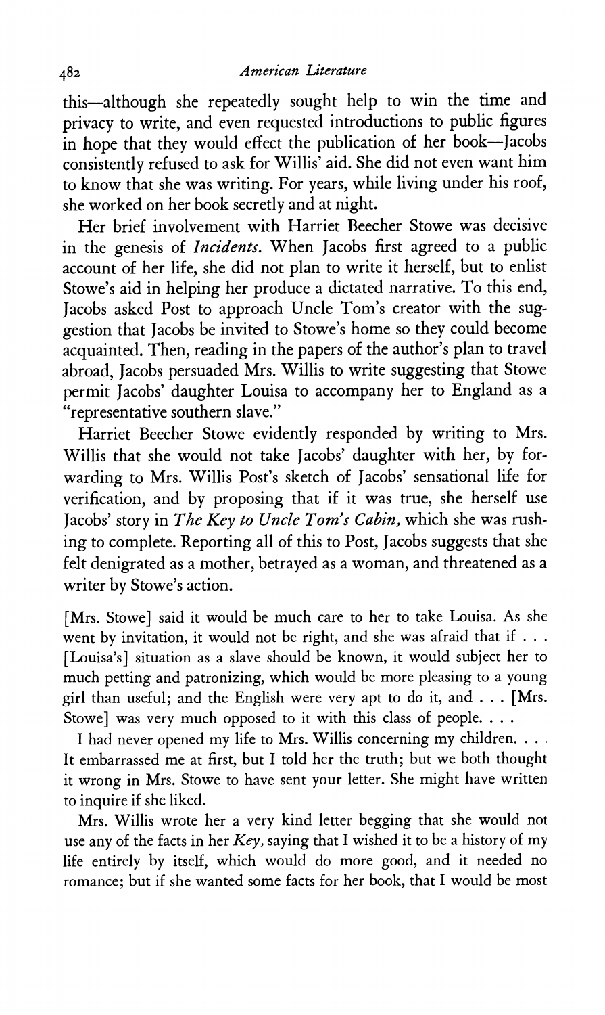this-although she repeatedly sought help to win the time and privacy to write, and even requested introductions to public figures in hope that they would effect the publication of her book-Jacobs consistently refused to ask for Willis' aid. She did not even want him to know that she was writing. For years, while living under his roof, she worked on her book secretly and at night.

Her brief involvement with Harriet Beecher Stowe was decisive in the genesis of *Incidents*. When Jacobs first agreed to a public account of her life, she did not plan to write it herself, but to enlist Stowe's aid in helping her produce a dictated narrative. To this end, Jacobs asked Post to approach Uncle Tom's creator with the suggestion that Jacobs be invited to Stowe's home so they could become acquainted. Then, reading in the papers of the author's plan to travel abroad. Jacobs persuaded Mrs. Willis to write suggesting that Stowe permit Jacobs' daughter Louisa to accompany her to England as a "representative southern slave."

Harriet Beecher Stowe evidently responded by writing to Mrs. Willis that she would not take Jacobs' daughter with her, by forwarding to Mrs. Willis Post's sketch of Jacobs' sensational life for verification, and by proposing that if it was true, she herself use Jacobs' story in The Key to Uncle Tom's Cabin, which she was rushing to complete. Reporting all of this to Post, Jacobs suggests that she felt denigrated as a mother, betraved as a woman, and threatened as a writer by Stowe's action.

[Mrs. Stowe] said it would be much care to her to take Louisa. As she went by invitation, it would not be right, and she was afraid that if . . . [Louisa's] situation as a slave should be known, it would subject her to much petting and patronizing, which would be more pleasing to a young girl than useful; and the English were very apt to do it, and . . . [Mrs. Stowe] was very much opposed to it with this class of people. . . .

I had never opened my life to Mrs. Willis concerning my children. . . . It embarrassed me at first, but I told her the truth; but we both thought it wrong in Mrs. Stowe to have sent your letter. She might have written to inquire if she liked.

Mrs. Willis wrote her a very kind letter begging that she would not use any of the facts in her  $Key$ , saying that I wished it to be a history of my life entirely by itself, which would do more good, and it needed no romance; but if she wanted some facts for her book, that I would be most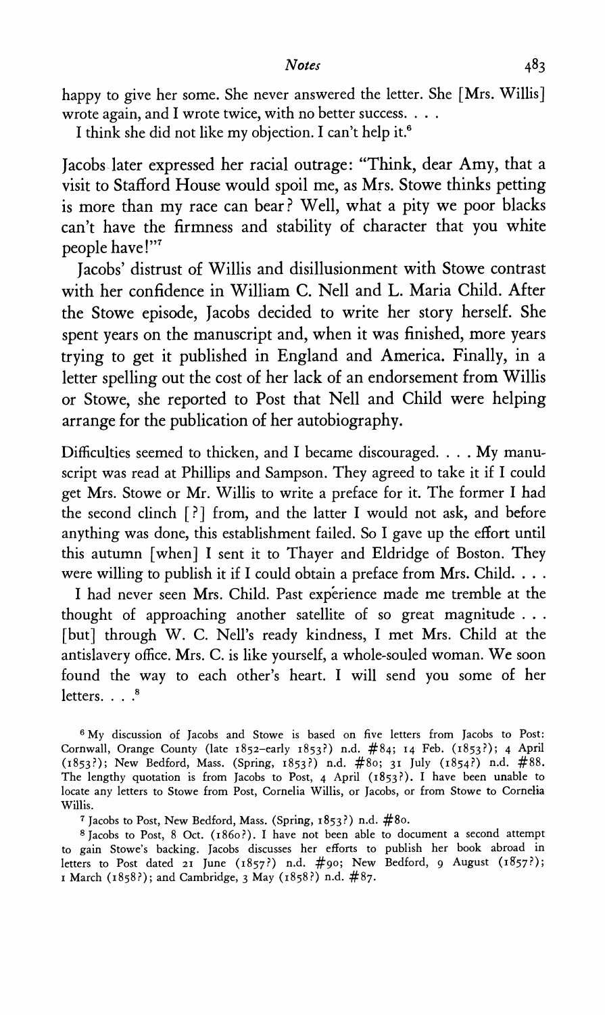#### **Notes**

happy to give her some. She never answered the letter. She [Mrs. Willis] wrote again, and I wrote twice, with no better success. . . .

I think she did not like my objection. I can't help it.<sup>6</sup>

Jacobs later expressed her racial outrage: "Think, dear Amy, that a visit to Stafford House would spoil me, as Mrs. Stowe thinks petting is more than my race can bear? Well, what a pity we poor blacks can't have the firmness and stability of character that you white people have!"7

Jacobs' distrust of Willis and disillusionment with Stowe contrast with her confidence in William C. Nell and L. Maria Child. After the Stowe episode, Jacobs decided to write her story herself. She spent years on the manuscript and, when it was finished, more years trying to get it published in England and America. Finally, in a letter spelling out the cost of her lack of an endorsement from Willis or Stowe, she reported to Post that Nell and Child were helping arrange for the publication of her autobiography.

Difficulties seemed to thicken, and I became discouraged. . . . My manuscript was read at Phillips and Sampson. They agreed to take it if I could get Mrs. Stowe or Mr. Willis to write a preface for it. The former I had the second clinch [?] from, and the latter I would not ask, and before anything was done, this establishment failed. So I gave up the effort until this autumn [when] I sent it to Thayer and Eldridge of Boston. They were willing to publish it if I could obtain a preface from Mrs. Child.  $\dots$ 

I had never seen Mrs. Child. Past experience made me tremble at the thought of approaching another satellite of so great magnitude . . . [but] through W. C. Nell's ready kindness, I met Mrs. Child at the antislavery office. Mrs. C. is like yourself, a whole-souled woman. We soon found the way to each other's heart. I will send you some of her letters.  $\ldots$   $\overset{8}{\ldots}$ 

<sup>6</sup> My discussion of Jacobs and Stowe is based on five letters from Jacobs to Post: Cornwall, Orange County (late 1852-early 1853?) n.d. #84; 14 Feb. (1853?); 4 April (1853?); New Bedford, Mass. (Spring, 1853?) n.d. #80; 31 July (1854?) n.d. #88. The lengthy quotation is from Jacobs to Post, 4 April (1853?). I have been unable to locate any letters to Stowe from Post, Cornelia Willis, or Jacobs, or from Stowe to Cornelia Willis.

7 Jacobs to Post, New Bedford, Mass. (Spring, 1853?) n.d. #80.

8 Jacobs to Post, 8 Oct. (1860?). I have not been able to document a second attempt to gain Stowe's backing. Jacobs discusses her efforts to publish her book abroad in<br>letters to Post dated 21 June (1857?) n.d.  $#90$ ; New Bedford, 9 August (1857?); I March (1858?); and Cambridge, 3 May (1858?) n.d. #87.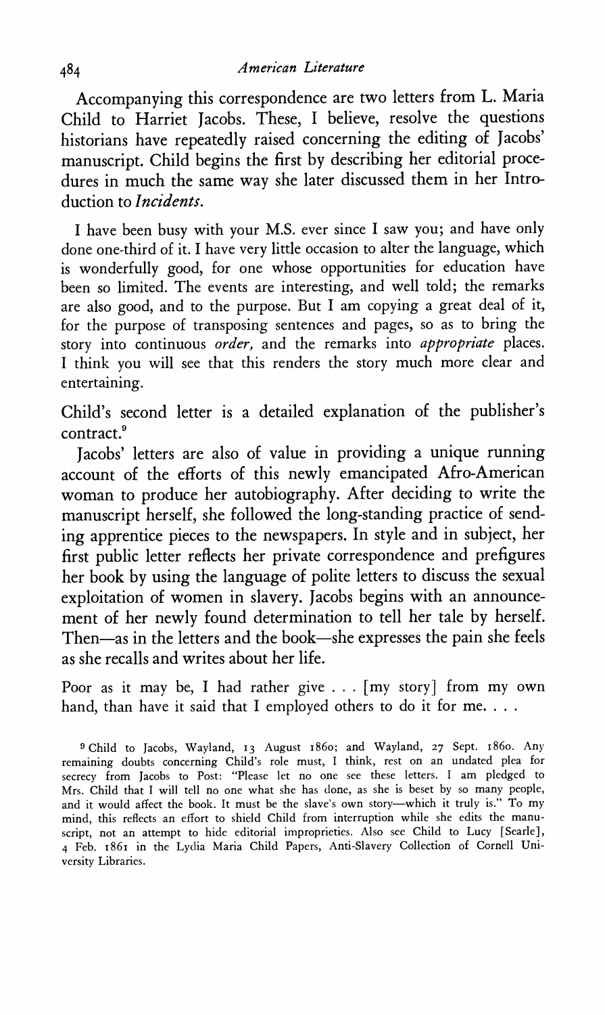Accompanying this correspondence are two letters from L. Maria Child to Harriet Jacobs. These, I believe, resolve the questions historians have repeatedly raised concerning the editing of Jacobs' manuscript. Child begins the first by describing her editorial procedures in much the same way she later discussed them in her Introduction to Incidents.

I have been busy with your M.S. ever since I saw you; and have only done one-third of it. I have very little occasion to alter the language, which is wonderfully good, for one whose opportunities for education have been so limited. The events are interesting, and well told; the remarks are also good, and to the purpose. But I am copying a great deal of it, for the purpose of transposing sentences and pages, so as to bring the story into continuous order, and the remarks into appropriate places. I think you will see that this renders the story much more clear and entertaining.

Child's second letter is a detailed explanation of the publisher's contract.<sup>9</sup>

Jacobs' letters are also of value in providing a unique running account of the efforts of this newly emancipated Afro-American woman to produce her autobiography. After deciding to write the manuscript herself, she followed the long-standing practice of sending apprentice pieces to the newspapers. In style and in subject, her first public letter reflects her private correspondence and prefigures her book by using the language of polite letters to discuss the sexual exploitation of women in slavery. Jacobs begins with an announcement of her newly found determination to tell her tale by herself. Then—as in the letters and the book—she expresses the pain she feels as she recalls and writes about her life.

Poor as it may be, I had rather give . . . [my story] from my own hand, than have it said that I employed others to do it for me. . . .

<sup>&</sup>lt;sup>9</sup> Child to Jacobs, Wayland, 13 August 1860; and Wayland, 27 Sept. 1860. Any remaining doubts concerning Child's role must, I think, rest on an undated plea for secrecy from Jacobs to Post: "Please let no one see these letters. I am pledged to Mrs. Child that I will tell no one what she has done, as she is beset by so many people, and it would affect the book. It must be the slave's own story-which it truly is." To my mind, this reflects an effort to shield Child from interruption while she edits the manuscript, not an attempt to hide editorial improprieties. Also see Child to Lucy [Searle], 4 Feb. 1861 in the Lydia Maria Child Papers, Anti-Slavery Collection of Cornell University Libraries.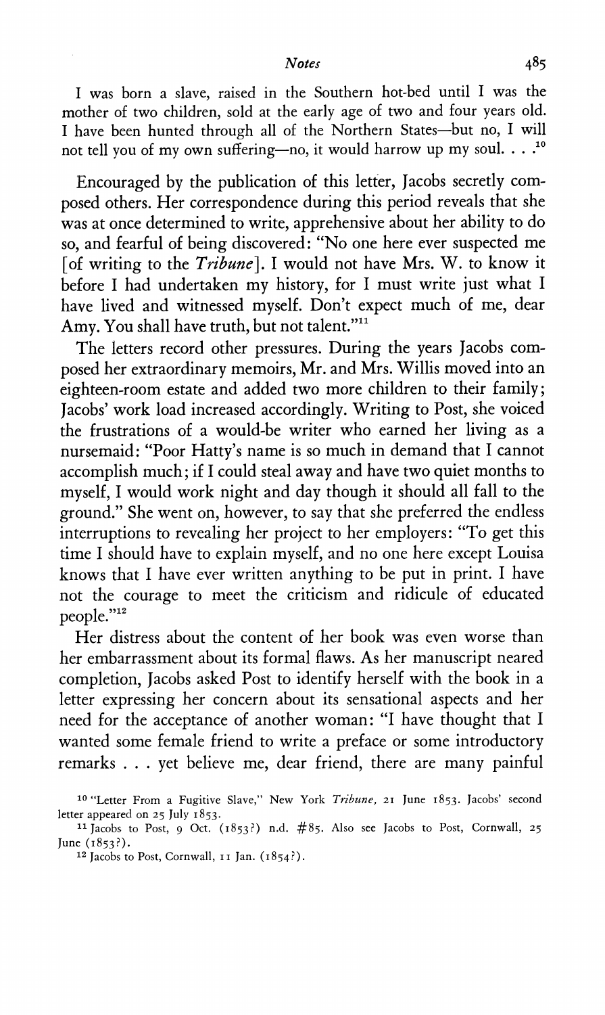#### **Notes**

I was born a slave, raised in the Southern hot-bed until I was the mother of two children, sold at the early age of two and four years old. I have been hunted through all of the Northern States-but no, I will not tell you of my own suffering-no, it would harrow up my soul. . . .<sup>10</sup>

Encouraged by the publication of this letter, Jacobs secretly composed others. Her correspondence during this period reveals that she was at once determined to write, apprehensive about her ability to do so, and fearful of being discovered: "No one here ever suspected me [of writing to the *Tribune*]. I would not have Mrs. W. to know it before I had undertaken my history, for I must write just what I have lived and witnessed myself. Don't expect much of me, dear Amy. You shall have truth, but not talent."11

The letters record other pressures. During the years Jacobs composed her extraordinary memoirs, Mr. and Mrs. Willis moved into an eighteen-room estate and added two more children to their family; Jacobs' work load increased accordingly. Writing to Post, she voiced the frustrations of a would-be writer who earned her living as a nursemaid: "Poor Hatty's name is so much in demand that I cannot accomplish much; if I could steal away and have two quiet months to myself. I would work night and day though it should all fall to the ground." She went on, however, to say that she preferred the endless interruptions to revealing her project to her employers: "To get this time I should have to explain myself, and no one here except Louisa knows that I have ever written anything to be put in print. I have not the courage to meet the criticism and ridicule of educated people."12

Her distress about the content of her book was even worse than her embarrassment about its formal flaws. As her manuscript neared completion, Jacobs asked Post to identify herself with the book in a letter expressing her concern about its sensational aspects and her need for the acceptance of another woman: "I have thought that I wanted some female friend to write a preface or some introductory remarks . . . yet believe me, dear friend, there are many painful

<sup>&</sup>lt;sup>10</sup> "Letter From a Fugitive Slave," New York Tribune, 21 June 1853. Jacobs' second letter appeared on  $25$  July  $1853$ .

<sup>&</sup>lt;sup>11</sup> Jacobs to Post, 9 Oct. (1853?) n.d. #85. Also see Jacobs to Post, Cornwall, 25 June  $(1853$ ?).

<sup>&</sup>lt;sup>12</sup> Jacobs to Post, Cornwall, 11 Jan. (1854?).